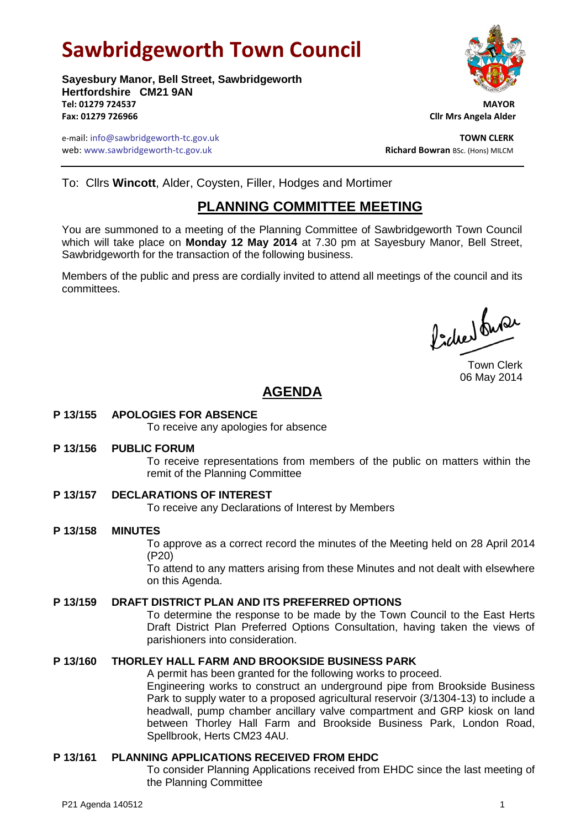# **Sawbridgeworth Town Council**

**Sayesbury Manor, Bell Street, Sawbridgeworth Hertfordshire CM21 9AN Tel: 01279 724537 MAYOR Fax: 01279 726966 Cllr Mrs Angela Alder**

e-mail: info@sawbridgeworth-tc.gov.uk **TOWN CLERK** web: www.sawbridgeworth-tc.gov.uk<br> **Richard Bowran** BSc. (Hons) MILCM

To: Cllrs **Wincott**, Alder, Coysten, Filler, Hodges and Mortimer

## **PLANNING COMMITTEE MEETING**

You are summoned to a meeting of the Planning Committee of Sawbridgeworth Town Council which will take place on **Monday 12 May 2014** at 7.30 pm at Sayesbury Manor, Bell Street, Sawbridgeworth for the transaction of the following business.

Members of the public and press are cordially invited to attend all meetings of the council and its committees.

Pode buse

Town Clerk 06 May 2014

# **AGENDA**

### **P 13/155 APOLOGIES FOR ABSENCE**

To receive any apologies for absence

#### **P 13/156 PUBLIC FORUM**

To receive representations from members of the public on matters within the remit of the Planning Committee

#### **P 13/157 DECLARATIONS OF INTEREST**

To receive any Declarations of Interest by Members

#### **P 13/158 MINUTES**

To approve as a correct record the minutes of the Meeting held on 28 April 2014 (P20)

To attend to any matters arising from these Minutes and not dealt with elsewhere on this Agenda.

#### **P 13/159 DRAFT DISTRICT PLAN AND ITS PREFERRED OPTIONS**

To determine the response to be made by the Town Council to the East Herts Draft District Plan Preferred Options Consultation, having taken the views of parishioners into consideration.

#### **P 13/160 THORLEY HALL FARM AND BROOKSIDE BUSINESS PARK**

A permit has been granted for the following works to proceed. Engineering works to construct an underground pipe from Brookside Business Park to supply water to a proposed agricultural reservoir (3/1304-13) to include a headwall, pump chamber ancillary valve compartment and GRP kiosk on land between Thorley Hall Farm and Brookside Business Park, London Road, Spellbrook, Herts CM23 4AU.

#### **P 13/161 PLANNING APPLICATIONS RECEIVED FROM EHDC**

To consider Planning Applications received from EHDC since the last meeting of the Planning Committee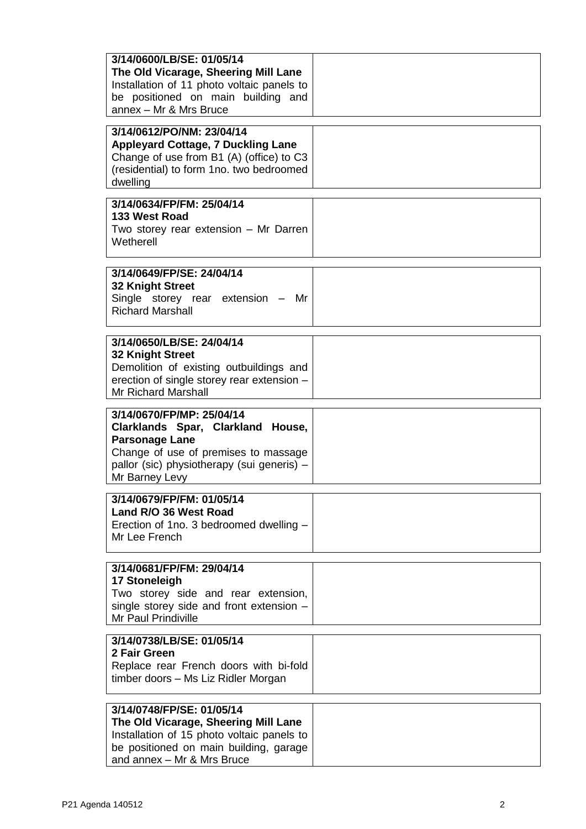| 3/14/0600/LB/SE: 01/05/14<br>The Old Vicarage, Sheering Mill Lane<br>Installation of 11 photo voltaic panels to<br>be positioned on main building and<br>annex - Mr & Mrs Bruce                 |  |
|-------------------------------------------------------------------------------------------------------------------------------------------------------------------------------------------------|--|
| 3/14/0612/PO/NM: 23/04/14<br><b>Appleyard Cottage, 7 Duckling Lane</b><br>Change of use from B1 (A) (office) to C3<br>(residential) to form 1no. two bedroomed<br>dwelling                      |  |
| 3/14/0634/FP/FM: 25/04/14<br>133 West Road<br>Two storey rear extension - Mr Darren<br>Wetherell                                                                                                |  |
| 3/14/0649/FP/SE: 24/04/14<br>32 Knight Street<br>Single storey rear extension - Mr<br><b>Richard Marshall</b>                                                                                   |  |
| 3/14/0650/LB/SE: 24/04/14<br>32 Knight Street<br>Demolition of existing outbuildings and<br>erection of single storey rear extension -<br><b>Mr Richard Marshall</b>                            |  |
| 3/14/0670/FP/MP: 25/04/14<br>Clarklands Spar, Clarkland House,<br><b>Parsonage Lane</b><br>Change of use of premises to massage<br>pallor (sic) physiotherapy (sui generis) -<br>Mr Barney Levy |  |
| 3/14/0679/FP/FM: 01/05/14<br>Land R/O 36 West Road<br>Erection of 1no. 3 bedroomed dwelling -<br>Mr Lee French                                                                                  |  |
| 3/14/0681/FP/FM: 29/04/14<br>17 Stoneleigh<br>Two storey side and rear extension,<br>single storey side and front extension -<br>Mr Paul Prindiville                                            |  |
| 3/14/0738/LB/SE: 01/05/14<br>2 Fair Green<br>Replace rear French doors with bi-fold<br>timber doors – Ms Liz Ridler Morgan                                                                      |  |
| 3/14/0748/FP/SE: 01/05/14<br>The Old Vicarage, Sheering Mill Lane<br>Installation of 15 photo voltaic panels to<br>be positioned on main building, garage<br>and annex - Mr & Mrs Bruce         |  |